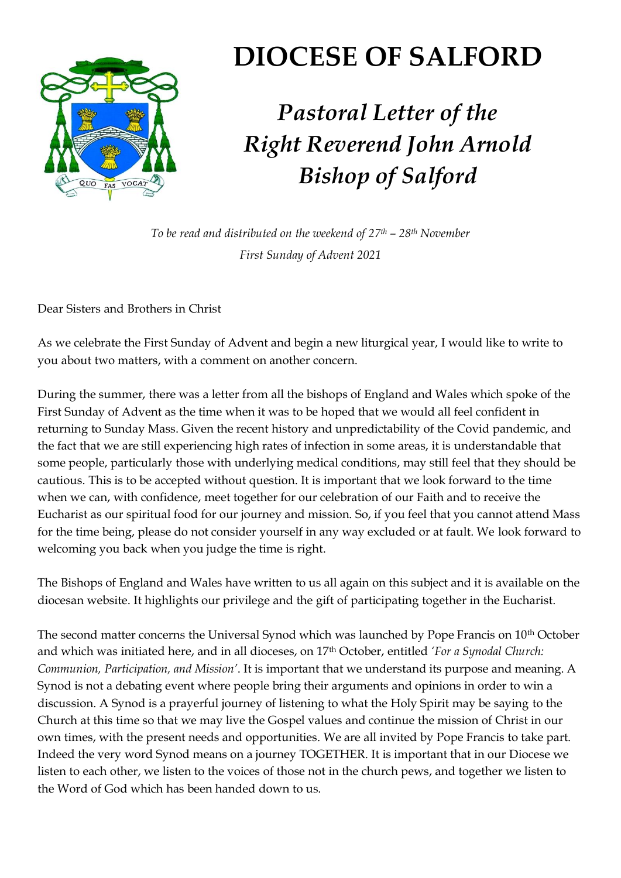

## **DIOCESE OF SALFORD**

## *Pastoral Letter of the Right Reverend John Arnold Bishop of Salford*

*To be read and distributed on the weekend of 27th – 28th November First Sunday of Advent 2021*

Dear Sisters and Brothers in Christ

As we celebrate the First Sunday of Advent and begin a new liturgical year, I would like to write to you about two matters, with a comment on another concern.

During the summer, there was a letter from all the bishops of England and Wales which spoke of the First Sunday of Advent as the time when it was to be hoped that we would all feel confident in returning to Sunday Mass. Given the recent history and unpredictability of the Covid pandemic, and the fact that we are still experiencing high rates of infection in some areas, it is understandable that some people, particularly those with underlying medical conditions, may still feel that they should be cautious. This is to be accepted without question. It is important that we look forward to the time when we can, with confidence, meet together for our celebration of our Faith and to receive the Eucharist as our spiritual food for our journey and mission. So, if you feel that you cannot attend Mass for the time being, please do not consider yourself in any way excluded or at fault. We look forward to welcoming you back when you judge the time is right.

The Bishops of England and Wales have written to us all again on this subject and it is available on the diocesan website. It highlights our privilege and the gift of participating together in the Eucharist.

The second matter concerns the Universal Synod which was launched by Pope Francis on 10th October and which was initiated here, and in all dioceses, on 17th October, entitled *'For a Synodal Church: Communion, Participation, and Mission'*. It is important that we understand its purpose and meaning. A Synod is not a debating event where people bring their arguments and opinions in order to win a discussion. A Synod is a prayerful journey of listening to what the Holy Spirit may be saying to the Church at this time so that we may live the Gospel values and continue the mission of Christ in our own times, with the present needs and opportunities. We are all invited by Pope Francis to take part. Indeed the very word Synod means on a journey TOGETHER. It is important that in our Diocese we listen to each other, we listen to the voices of those not in the church pews, and together we listen to the Word of God which has been handed down to us.